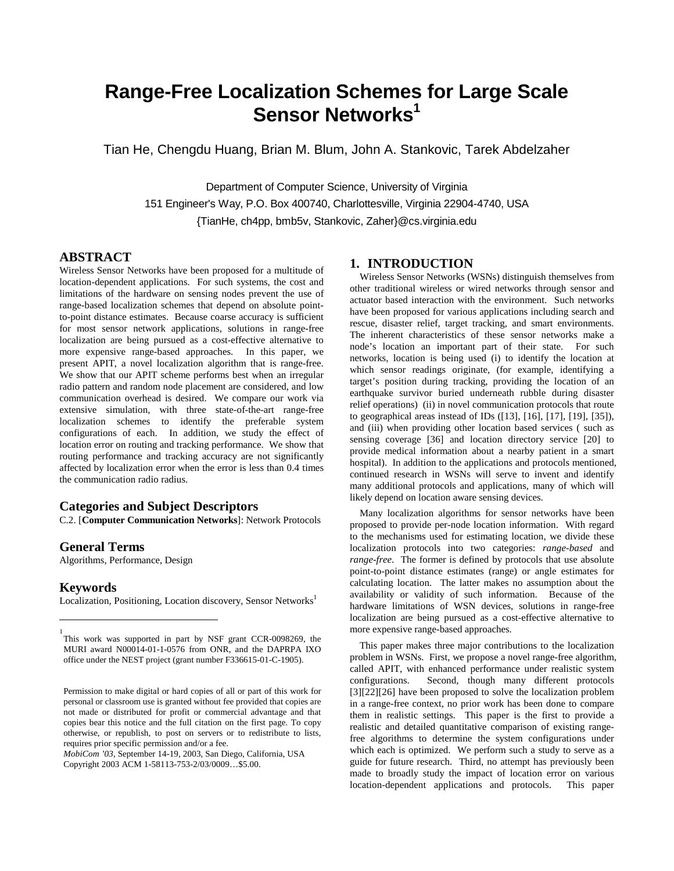# **Range-Free Localization Schemes for Large Scale Sensor Networks<sup>1</sup>**

Tian He, Chengdu Huang, Brian M. Blum, John A. Stankovic, Tarek Abdelzaher

Department of Computer Science, University of Virginia 151 Engineer's Way, P.O. Box 400740, Charlottesville, Virginia 22904-4740, USA {TianHe, ch4pp, bmb5v, Stankovic, Zaher}@cs.virginia.edu

# **ABSTRACT**

Wireless Sensor Networks have been proposed for a multitude of location-dependent applications. For such systems, the cost and limitations of the hardware on sensing nodes prevent the use of range-based localization schemes that depend on absolute pointto-point distance estimates. Because coarse accuracy is sufficient for most sensor network applications, solutions in range-free localization are being pursued as a cost-effective alternative to more expensive range-based approaches. In this paper, we present APIT, a novel localization algorithm that is range-free. We show that our APIT scheme performs best when an irregular radio pattern and random node placement are considered, and low communication overhead is desired. We compare our work via extensive simulation, with three state-of-the-art range-free localization schemes to identify the preferable system configurations of each. In addition, we study the effect of location error on routing and tracking performance. We show that routing performance and tracking accuracy are not significantly affected by localization error when the error is less than 0.4 times the communication radio radius.

### **Categories and Subject Descriptors**

C.2. [**Computer Communication Networks**]: Network Protocols

### **General Terms**

Algorithms, Performance, Design

### **Keywords**

j

Localization, Positioning, Location discovery, Sensor Networks<sup>1</sup>

*MobiCom '03*, September 14-19, 2003, San Diego, California, USA Copyright 2003 ACM 1-58113-753-2/03/0009…\$5.00.

### **1. INTRODUCTION**

Wireless Sensor Networks (WSNs) distinguish themselves from other traditional wireless or wired networks through sensor and actuator based interaction with the environment. Such networks have been proposed for various applications including search and rescue, disaster relief, target tracking, and smart environments. The inherent characteristics of these sensor networks make a node's location an important part of their state. For such networks, location is being used (i) to identify the location at which sensor readings originate, (for example, identifying a target's position during tracking, providing the location of an earthquake survivor buried underneath rubble during disaster relief operations) (ii) in novel communication protocols that route to geographical areas instead of IDs ([13], [16], [17], [19], [35]), and (iii) when providing other location based services ( such as sensing coverage [36] and location directory service [20] to provide medical information about a nearby patient in a smart hospital). In addition to the applications and protocols mentioned, continued research in WSNs will serve to invent and identify many additional protocols and applications, many of which will likely depend on location aware sensing devices.

Many localization algorithms for sensor networks have been proposed to provide per-node location information. With regard to the mechanisms used for estimating location, we divide these localization protocols into two categories: *range-based* and *range-free*. The former is defined by protocols that use absolute point-to-point distance estimates (range) or angle estimates for calculating location. The latter makes no assumption about the availability or validity of such information. Because of the hardware limitations of WSN devices, solutions in range-free localization are being pursued as a cost-effective alternative to more expensive range-based approaches.

This paper makes three major contributions to the localization problem in WSNs. First, we propose a novel range-free algorithm, called APIT, with enhanced performance under realistic system configurations. Second, though many different protocols [3][22][26] have been proposed to solve the localization problem in a range-free context, no prior work has been done to compare them in realistic settings. This paper is the first to provide a realistic and detailed quantitative comparison of existing rangefree algorithms to determine the system configurations under which each is optimized. We perform such a study to serve as a guide for future research. Third, no attempt has previously been made to broadly study the impact of location error on various location-dependent applications and protocols. This paper

<sup>1</sup> This work was supported in part by NSF grant CCR-0098269, the MURI award N00014-01-1-0576 from ONR, and the DAPRPA IXO office under the NEST project (grant number F336615-01-C-1905).

Permission to make digital or hard copies of all or part of this work for personal or classroom use is granted without fee provided that copies are not made or distributed for profit or commercial advantage and that copies bear this notice and the full citation on the first page. To copy otherwise, or republish, to post on servers or to redistribute to lists, requires prior specific permission and/or a fee.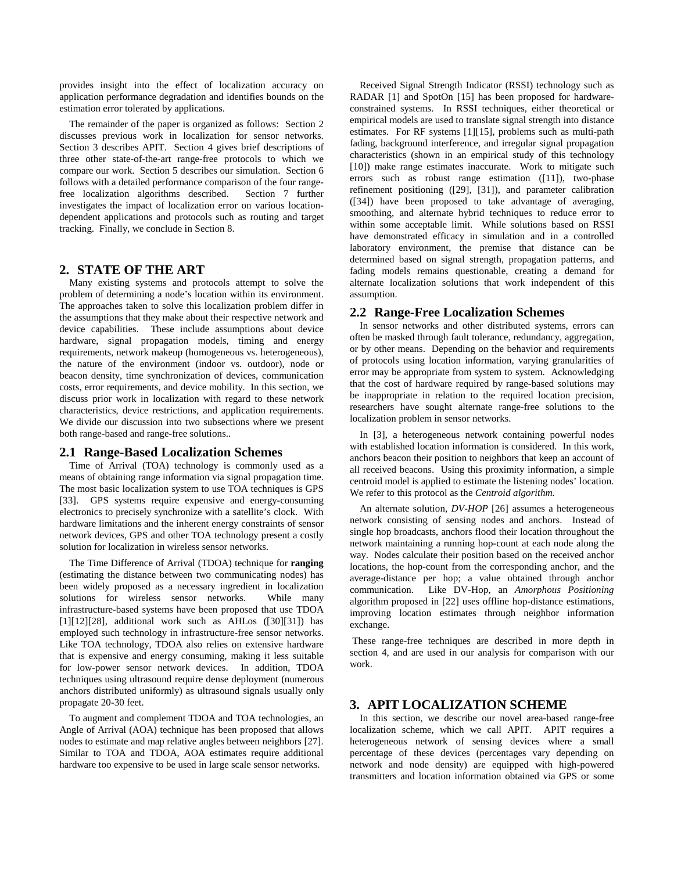provides insight into the effect of localization accuracy on application performance degradation and identifies bounds on the estimation error tolerated by applications.

The remainder of the paper is organized as follows: Section 2 discusses previous work in localization for sensor networks. Section 3 describes APIT. Section 4 gives brief descriptions of three other state-of-the-art range-free protocols to which we compare our work. Section 5 describes our simulation. Section 6 follows with a detailed performance comparison of the four rangefree localization algorithms described. Section 7 further investigates the impact of localization error on various locationdependent applications and protocols such as routing and target tracking. Finally, we conclude in Section 8.

### **2. STATE OF THE ART**

Many existing systems and protocols attempt to solve the problem of determining a node's location within its environment. The approaches taken to solve this localization problem differ in the assumptions that they make about their respective network and device capabilities. These include assumptions about device hardware, signal propagation models, timing and energy requirements, network makeup (homogeneous vs. heterogeneous), the nature of the environment (indoor vs. outdoor), node or beacon density, time synchronization of devices, communication costs, error requirements, and device mobility. In this section, we discuss prior work in localization with regard to these network characteristics, device restrictions, and application requirements. We divide our discussion into two subsections where we present both range-based and range-free solutions..

### **2.1 Range-Based Localization Schemes**

Time of Arrival (TOA) technology is commonly used as a means of obtaining range information via signal propagation time. The most basic localization system to use TOA techniques is GPS [33]. GPS systems require expensive and energy-consuming electronics to precisely synchronize with a satellite's clock. With hardware limitations and the inherent energy constraints of sensor network devices, GPS and other TOA technology present a costly solution for localization in wireless sensor networks.

The Time Difference of Arrival (TDOA) technique for **ranging** (estimating the distance between two communicating nodes) has been widely proposed as a necessary ingredient in localization solutions for wireless sensor networks. While many infrastructure-based systems have been proposed that use TDOA  $[1][12][28]$ , additional work such as AHLos  $([30][31])$  has employed such technology in infrastructure-free sensor networks. Like TOA technology, TDOA also relies on extensive hardware that is expensive and energy consuming, making it less suitable for low-power sensor network devices. In addition, TDOA techniques using ultrasound require dense deployment (numerous anchors distributed uniformly) as ultrasound signals usually only propagate 20-30 feet.

To augment and complement TDOA and TOA technologies, an Angle of Arrival (AOA) technique has been proposed that allows nodes to estimate and map relative angles between neighbors [27]. Similar to TOA and TDOA, AOA estimates require additional hardware too expensive to be used in large scale sensor networks.

Received Signal Strength Indicator (RSSI) technology such as RADAR [1] and SpotOn [15] has been proposed for hardwareconstrained systems. In RSSI techniques, either theoretical or empirical models are used to translate signal strength into distance estimates. For RF systems [1][15], problems such as multi-path fading, background interference, and irregular signal propagation characteristics (shown in an empirical study of this technology [10]) make range estimates inaccurate. Work to mitigate such errors such as robust range estimation ([11]), two-phase refinement positioning ([29], [31]), and parameter calibration ([34]) have been proposed to take advantage of averaging, smoothing, and alternate hybrid techniques to reduce error to within some acceptable limit. While solutions based on RSSI have demonstrated efficacy in simulation and in a controlled laboratory environment, the premise that distance can be determined based on signal strength, propagation patterns, and fading models remains questionable, creating a demand for alternate localization solutions that work independent of this assumption.

### **2.2 Range-Free Localization Schemes**

In sensor networks and other distributed systems, errors can often be masked through fault tolerance, redundancy, aggregation, or by other means. Depending on the behavior and requirements of protocols using location information, varying granularities of error may be appropriate from system to system. Acknowledging that the cost of hardware required by range-based solutions may be inappropriate in relation to the required location precision, researchers have sought alternate range-free solutions to the localization problem in sensor networks.

In [3], a heterogeneous network containing powerful nodes with established location information is considered. In this work, anchors beacon their position to neighbors that keep an account of all received beacons. Using this proximity information, a simple centroid model is applied to estimate the listening nodes' location. We refer to this protocol as the *Centroid algorithm.*

An alternate solution, *DV-HOP* [26] assumes a heterogeneous network consisting of sensing nodes and anchors. Instead of single hop broadcasts, anchors flood their location throughout the network maintaining a running hop-count at each node along the way. Nodes calculate their position based on the received anchor locations, the hop-count from the corresponding anchor, and the average-distance per hop; a value obtained through anchor communication. Like DV-Hop, an *Amorphous Positioning* algorithm proposed in [22] uses offline hop-distance estimations, improving location estimates through neighbor information exchange.

 These range-free techniques are described in more depth in section 4, and are used in our analysis for comparison with our work.

# **3. APIT LOCALIZATION SCHEME**

In this section, we describe our novel area-based range-free localization scheme, which we call APIT. APIT requires a heterogeneous network of sensing devices where a small percentage of these devices (percentages vary depending on network and node density) are equipped with high-powered transmitters and location information obtained via GPS or some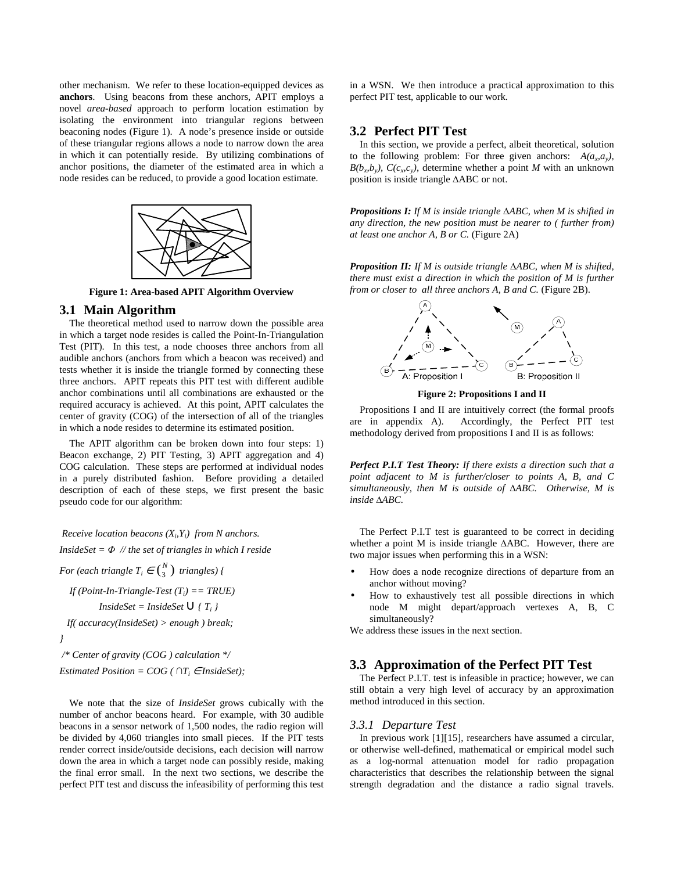other mechanism. We refer to these location-equipped devices as **anchors**. Using beacons from these anchors, APIT employs a novel *area-based* approach to perform location estimation by isolating the environment into triangular regions between beaconing nodes (Figure 1). A node's presence inside or outside of these triangular regions allows a node to narrow down the area in which it can potentially reside. By utilizing combinations of anchor positions, the diameter of the estimated area in which a node resides can be reduced, to provide a good location estimate.



**Figure 1: Area-based APIT Algorithm Overview** 

### **3.1 Main Algorithm**

The theoretical method used to narrow down the possible area in which a target node resides is called the Point-In-Triangulation Test (PIT). In this test, a node chooses three anchors from all audible anchors (anchors from which a beacon was received) and tests whether it is inside the triangle formed by connecting these three anchors. APIT repeats this PIT test with different audible anchor combinations until all combinations are exhausted or the required accuracy is achieved. At this point, APIT calculates the center of gravity (COG) of the intersection of all of the triangles in which a node resides to determine its estimated position.

The APIT algorithm can be broken down into four steps: 1) Beacon exchange, 2) PIT Testing, 3) APIT aggregation and 4) COG calculation. These steps are performed at individual nodes in a purely distributed fashion. Before providing a detailed description of each of these steps, we first present the basic pseudo code for our algorithm:

*Receive location beacons*  $(X_i, Y_i)$  *from N anchors. InsideSet = Φ // the set of triangles in which I reside* 

*For (each triangle*  $T_i \in \binom{N}{3}$  *triangles)* {

*If (Point-In-Triangle-Test*  $(T_i) == TRUE$ *)* 

*InsideSet = InsideSet*  $∪$  *{ T<sub>i</sub> }* 

 *If( accuracy(InsideSet) > enough ) break;* 

 */\* Center of gravity (COG ) calculation \*/* 

*}* 

*Estimated Position = COG* ( $\cap T_i \in InsideSet$ );

We note that the size of *InsideSet* grows cubically with the number of anchor beacons heard. For example, with 30 audible beacons in a sensor network of 1,500 nodes, the radio region will be divided by 4,060 triangles into small pieces. If the PIT tests render correct inside/outside decisions, each decision will narrow down the area in which a target node can possibly reside, making the final error small. In the next two sections, we describe the perfect PIT test and discuss the infeasibility of performing this test

in a WSN. We then introduce a practical approximation to this perfect PIT test, applicable to our work.

### **3.2 Perfect PIT Test**

In this section, we provide a perfect, albeit theoretical, solution to the following problem: For three given anchors:  $A(a_x, a_y)$ ,  $B(b_x, b_y)$ ,  $C(c_x, c_y)$ , determine whether a point *M* with an unknown position is inside triangle ∆ABC or not.

*Propositions I: If M is inside triangle* ∆*ABC, when M is shifted in any direction, the new position must be nearer to ( further from) at least one anchor A, B or C.* (Figure 2A)

*Proposition II: If M is outside triangle* ∆*ABC, when M is shifted, there must exist a direction in which the position of M is further from or closer to all three anchors A, B and C.* (Figure 2B).



**Figure 2: Propositions I and II** 

Propositions I and II are intuitively correct (the formal proofs are in appendix A). Accordingly, the Perfect PIT test methodology derived from propositions I and II is as follows:

*Perfect P.I.T Test Theory: If there exists a direction such that a point adjacent to M is further/closer to points A, B, and C simultaneously, then M is outside of* ∆*ABC. Otherwise, M is inside* ∆*ABC.* 

The Perfect P.I.T test is guaranteed to be correct in deciding whether a point M is inside triangle ∆ABC. However, there are two major issues when performing this in a WSN:

- How does a node recognize directions of departure from an anchor without moving?
- How to exhaustively test all possible directions in which node M might depart/approach vertexes A, B, C simultaneously?

We address these issues in the next section.

### **3.3 Approximation of the Perfect PIT Test**

The Perfect P.I.T. test is infeasible in practice; however, we can still obtain a very high level of accuracy by an approximation method introduced in this section.

#### *3.3.1 Departure Test*

In previous work [1][15], researchers have assumed a circular, or otherwise well-defined, mathematical or empirical model such as a log-normal attenuation model for radio propagation characteristics that describes the relationship between the signal strength degradation and the distance a radio signal travels.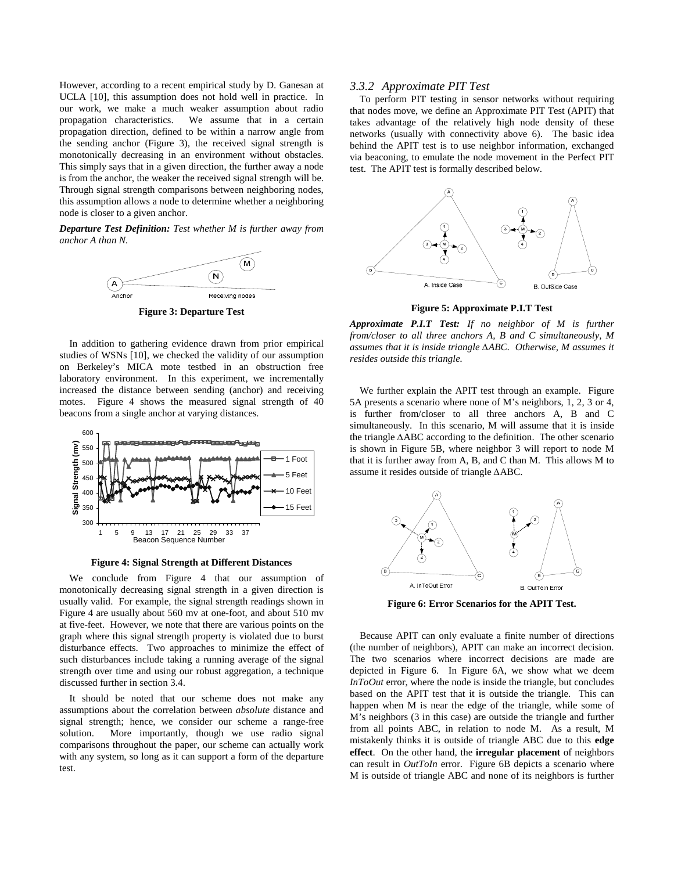However, according to a recent empirical study by D. Ganesan at UCLA [10], this assumption does not hold well in practice. In our work, we make a much weaker assumption about radio propagation characteristics. We assume that in a certain We assume that in a certain propagation direction, defined to be within a narrow angle from the sending anchor (Figure 3), the received signal strength is monotonically decreasing in an environment without obstacles. This simply says that in a given direction, the further away a node is from the anchor, the weaker the received signal strength will be. Through signal strength comparisons between neighboring nodes, this assumption allows a node to determine whether a neighboring node is closer to a given anchor.

*Departure Test Definition: Test whether M is further away from anchor A than N.* 



**Figure 3: Departure Test** 

In addition to gathering evidence drawn from prior empirical studies of WSNs [10], we checked the validity of our assumption on Berkeley's MICA mote testbed in an obstruction free laboratory environment. In this experiment, we incrementally increased the distance between sending (anchor) and receiving motes. Figure 4 shows the measured signal strength of 40 beacons from a single anchor at varying distances.



**Figure 4: Signal Strength at Different Distances** 

We conclude from Figure 4 that our assumption of monotonically decreasing signal strength in a given direction is usually valid. For example, the signal strength readings shown in Figure 4 are usually about 560 mv at one-foot, and about 510 mv at five-feet. However, we note that there are various points on the graph where this signal strength property is violated due to burst disturbance effects. Two approaches to minimize the effect of such disturbances include taking a running average of the signal strength over time and using our robust aggregation, a technique discussed further in section 3.4.

It should be noted that our scheme does not make any assumptions about the correlation between *absolute* distance and signal strength; hence, we consider our scheme a range-free solution. More importantly, though we use radio signal comparisons throughout the paper, our scheme can actually work with any system, so long as it can support a form of the departure test.

### *3.3.2 Approximate PIT Test*

To perform PIT testing in sensor networks without requiring that nodes move, we define an Approximate PIT Test (APIT) that takes advantage of the relatively high node density of these networks (usually with connectivity above 6). The basic idea behind the APIT test is to use neighbor information, exchanged via beaconing, to emulate the node movement in the Perfect PIT test. The APIT test is formally described below.



**Figure 5: Approximate P.I.T Test** 

*Approximate P.I.T Test: If no neighbor of M is further from/closer to all three anchors A, B and C simultaneously, M assumes that it is inside triangle ∆ABC. Otherwise, M assumes it resides outside this triangle.* 

We further explain the APIT test through an example. Figure 5A presents a scenario where none of M's neighbors, 1, 2, 3 or 4, is further from/closer to all three anchors A, B and C simultaneously. In this scenario, M will assume that it is inside the triangle *∆*ABC according to the definition. The other scenario is shown in Figure 5B, where neighbor 3 will report to node M that it is further away from A, B, and C than M. This allows M to assume it resides outside of triangle *∆*ABC.



**Figure 6: Error Scenarios for the APIT Test.** 

Because APIT can only evaluate a finite number of directions (the number of neighbors), APIT can make an incorrect decision. The two scenarios where incorrect decisions are made are depicted in Figure 6. In Figure 6A, we show what we deem *InToOut* error, where the node is inside the triangle, but concludes based on the APIT test that it is outside the triangle. This can happen when M is near the edge of the triangle, while some of M's neighbors (3 in this case) are outside the triangle and further from all points ABC, in relation to node M. As a result, M mistakenly thinks it is outside of triangle ABC due to this **edge effect**. On the other hand, the **irregular placement** of neighbors can result in *OutToIn* error. Figure 6B depicts a scenario where M is outside of triangle ABC and none of its neighbors is further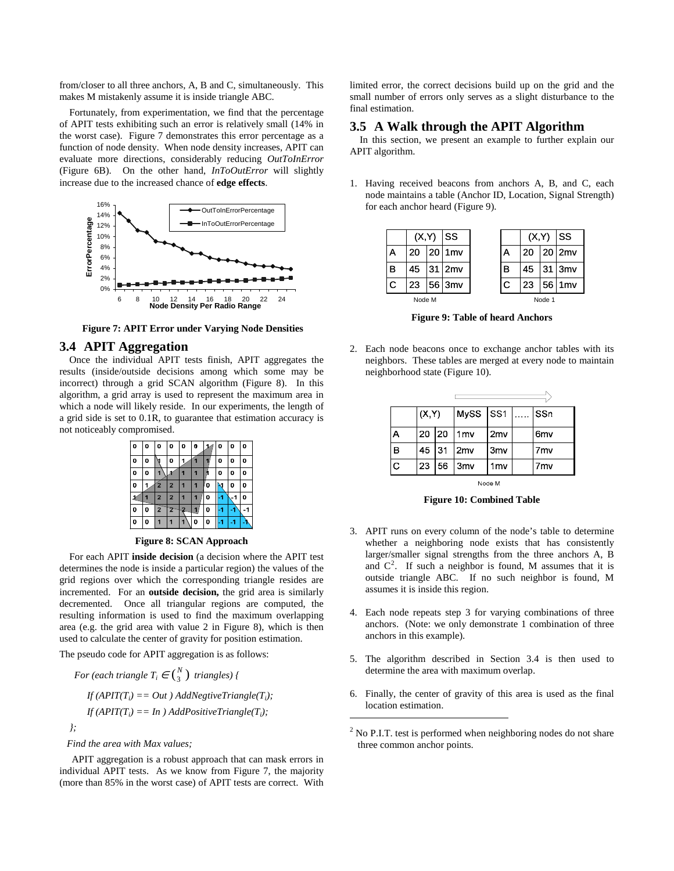from/closer to all three anchors, A, B and C, simultaneously. This makes M mistakenly assume it is inside triangle ABC.

Fortunately, from experimentation, we find that the percentage of APIT tests exhibiting such an error is relatively small (14% in the worst case). Figure 7 demonstrates this error percentage as a function of node density. When node density increases, APIT can evaluate more directions, considerably reducing *OutToInError* (Figure 6B). On the other hand, *InToOutError* will slightly increase due to the increased chance of **edge effects**.



 **Figure 7: APIT Error under Varying Node Densities** 

#### **3.4 APIT Aggregation**

Once the individual APIT tests finish, APIT aggregates the results (inside/outside decisions among which some may be incorrect) through a grid SCAN algorithm (Figure 8). In this algorithm, a grid array is used to represent the maximum area in which a node will likely reside. In our experiments, the length of a grid side is set to 0.1R, to guarantee that estimation accuracy is not noticeably compromised.

| п | 0 | 0 | o | 0 | Q |   | ۵ | 0 | 0 |
|---|---|---|---|---|---|---|---|---|---|
| п |   |   | n |   |   |   | п |   | ۵ |
| г |   |   |   |   |   |   | n | 0 | ٥ |
|   |   |   | 2 |   |   | n |   |   | 0 |
|   |   | 2 | ٠ |   |   | 0 |   |   | 0 |
|   |   | ٠ |   |   |   | n |   |   |   |
|   |   |   |   |   | 0 | 0 |   |   |   |

**Figure 8: SCAN Approach** 

For each APIT **inside decision** (a decision where the APIT test determines the node is inside a particular region) the values of the grid regions over which the corresponding triangle resides are incremented. For an **outside decision,** the grid area is similarly decremented. Once all triangular regions are computed, the resulting information is used to find the maximum overlapping area (e.g. the grid area with value 2 in Figure 8), which is then used to calculate the center of gravity for position estimation.

The pseudo code for APIT aggregation is as follows:

*For (each triangle*  $T_i \in \binom{N}{3}$  *triangles)* { *If (APIT(T<sub>i</sub>) =*  $Out$ *) AddNegtiveTriangle(T<sub>i</sub>); If*  $(APIT(T_i) == In) AddPositiveTriangle(T_i);$ *};* 

#### *Find the area with Max values;*

 APIT aggregation is a robust approach that can mask errors in individual APIT tests. As we know from Figure 7, the majority (more than 85% in the worst case) of APIT tests are correct. With

limited error, the correct decisions build up on the grid and the small number of errors only serves as a slight disturbance to the final estimation.

### **3.5 A Walk through the APIT Algorithm**

In this section, we present an example to further explain our APIT algorithm.

1. Having received beacons from anchors A, B, and C, each node maintains a table (Anchor ID, Location, Signal Strength) for each anchor heard (Figure 9).

|        | $(X,Y)$ SS |  |           |  |        | $(X,Y)$ SS |  |              |
|--------|------------|--|-----------|--|--------|------------|--|--------------|
| A      | 20         |  | $20$  1mv |  | Α      | 20         |  | 20 2mv       |
| в      | 45         |  | 31 2mv    |  | ΈВ     |            |  | 45 $ 31 3mv$ |
| с      | 23         |  | 56 3mv    |  |        | 23         |  | 56   1mv     |
| Node M |            |  |           |  | Node 1 |            |  |              |

**Figure 9: Table of heard Anchors** 

2. Each node beacons once to exchange anchor tables with its neighbors. These tables are merged at every node to maintain neighborhood state (Figure 10).

|   | (X,Y) |       | MySS $ SS1 $    |                 | ,SSn            |
|---|-------|-------|-----------------|-----------------|-----------------|
| Α | 20 20 |       | 1 <sub>mv</sub> | 2mv             | .6mv            |
| в |       |       | 45 31 2mv       | 3 <sub>mv</sub> | 7 <sub>mv</sub> |
| C |       | 23 56 | 3mv             | 1mv             | 7mv             |

Node M

**Figure 10: Combined Table** 

- 3. APIT runs on every column of the node's table to determine whether a neighboring node exists that has consistently larger/smaller signal strengths from the three anchors A, B and  $C^2$ . If such a neighbor is found, M assumes that it is outside triangle ABC. If no such neighbor is found, M assumes it is inside this region.
- 4. Each node repeats step 3 for varying combinations of three anchors. (Note: we only demonstrate 1 combination of three anchors in this example).
- 5. The algorithm described in Section 3.4 is then used to determine the area with maximum overlap.
- 6. Finally, the center of gravity of this area is used as the final location estimation.

1

 $2$  No P.I.T. test is performed when neighboring nodes do not share three common anchor points.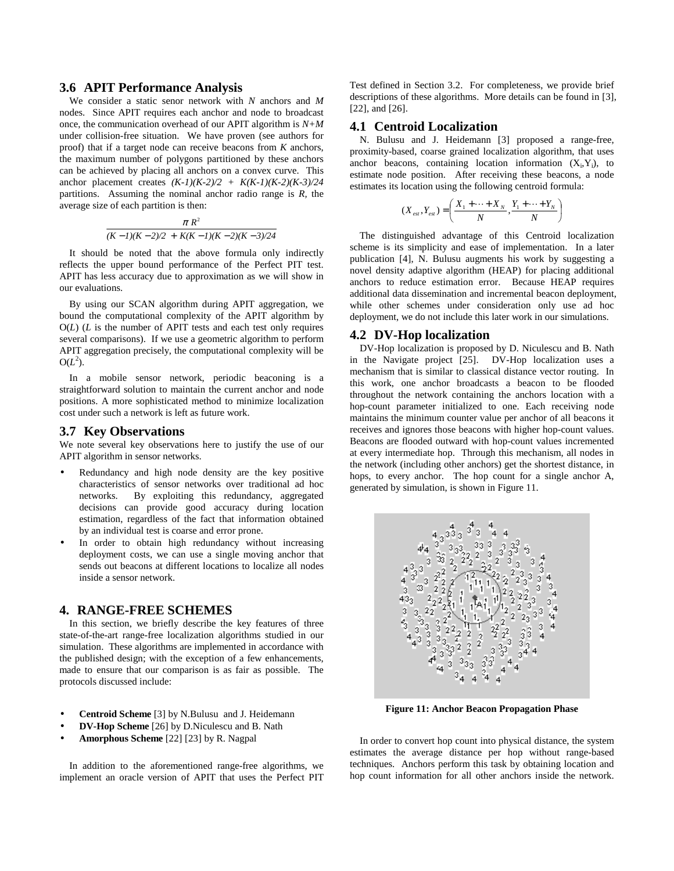### **3.6 APIT Performance Analysis**

We consider a static senor network with *N* anchors and *M* nodes. Since APIT requires each anchor and node to broadcast once, the communication overhead of our APIT algorithm is *N+M*  under collision-free situation. We have proven (see authors for proof) that if a target node can receive beacons from *K* anchors, the maximum number of polygons partitioned by these anchors can be achieved by placing all anchors on a convex curve. This anchor placement creates *(K-1)(K-2)/2 + K(K-1)(K-2)(K-3)/24* partitions. Assuming the nominal anchor radio range is *R,* the average size of each partition is then:

$$
\frac{\pi R^2}{(K-1)(K-2)/2 + K(K-1)(K-2)(K-3)/24}
$$

It should be noted that the above formula only indirectly reflects the upper bound performance of the Perfect PIT test. APIT has less accuracy due to approximation as we will show in our evaluations.

By using our SCAN algorithm during APIT aggregation, we bound the computational complexity of the APIT algorithm by  $O(L)$  ( $L$  is the number of APIT tests and each test only requires several comparisons). If we use a geometric algorithm to perform APIT aggregation precisely, the computational complexity will be  $O(L^2)$ .

In a mobile sensor network, periodic beaconing is a straightforward solution to maintain the current anchor and node positions. A more sophisticated method to minimize localization cost under such a network is left as future work.

# **3.7 Key Observations**

We note several key observations here to justify the use of our APIT algorithm in sensor networks.

- Redundancy and high node density are the key positive characteristics of sensor networks over traditional ad hoc networks. By exploiting this redundancy, aggregated decisions can provide good accuracy during location estimation, regardless of the fact that information obtained by an individual test is coarse and error prone.
- In order to obtain high redundancy without increasing deployment costs, we can use a single moving anchor that sends out beacons at different locations to localize all nodes inside a sensor network.

# **4. RANGE-FREE SCHEMES**

In this section, we briefly describe the key features of three state-of-the-art range-free localization algorithms studied in our simulation. These algorithms are implemented in accordance with the published design; with the exception of a few enhancements, made to ensure that our comparison is as fair as possible. The protocols discussed include:

- **Centroid Scheme** [3] by N.Bulusu and J. Heidemann
- **DV-Hop Scheme** [26] by D.Niculescu and B. Nath
- **Amorphous Scheme** [22] [23] by R. Nagpal

In addition to the aforementioned range-free algorithms, we implement an oracle version of APIT that uses the Perfect PIT

Test defined in Section 3.2. For completeness, we provide brief descriptions of these algorithms. More details can be found in [3], [22], and [26].

### **4.1 Centroid Localization**

N. Bulusu and J. Heidemann [3] proposed a range-free, proximity-based, coarse grained localization algorithm, that uses anchor beacons, containing location information  $(X_i, Y_i)$ , to estimate node position. After receiving these beacons, a node estimates its location using the following centroid formula:

$$
(X_{est}, Y_{est}) = \left(\frac{X_1 + \dots + X_N}{N}, \frac{Y_1 + \dots + Y_N}{N}\right)
$$

The distinguished advantage of this Centroid localization scheme is its simplicity and ease of implementation. In a later publication [4], N. Bulusu augments his work by suggesting a novel density adaptive algorithm (HEAP) for placing additional anchors to reduce estimation error. Because HEAP requires additional data dissemination and incremental beacon deployment, while other schemes under consideration only use ad hoc deployment, we do not include this later work in our simulations.

### **4.2 DV-Hop localization**

DV-Hop localization is proposed by D. Niculescu and B. Nath in the Navigate project [25]. DV-Hop localization uses a mechanism that is similar to classical distance vector routing. In this work, one anchor broadcasts a beacon to be flooded throughout the network containing the anchors location with a hop-count parameter initialized to one. Each receiving node maintains the minimum counter value per anchor of all beacons it receives and ignores those beacons with higher hop-count values. Beacons are flooded outward with hop-count values incremented at every intermediate hop. Through this mechanism, all nodes in the network (including other anchors) get the shortest distance, in hops, to every anchor. The hop count for a single anchor A, generated by simulation, is shown in Figure 11.



**Figure 11: Anchor Beacon Propagation Phase** 

In order to convert hop count into physical distance, the system estimates the average distance per hop without range-based techniques. Anchors perform this task by obtaining location and hop count information for all other anchors inside the network.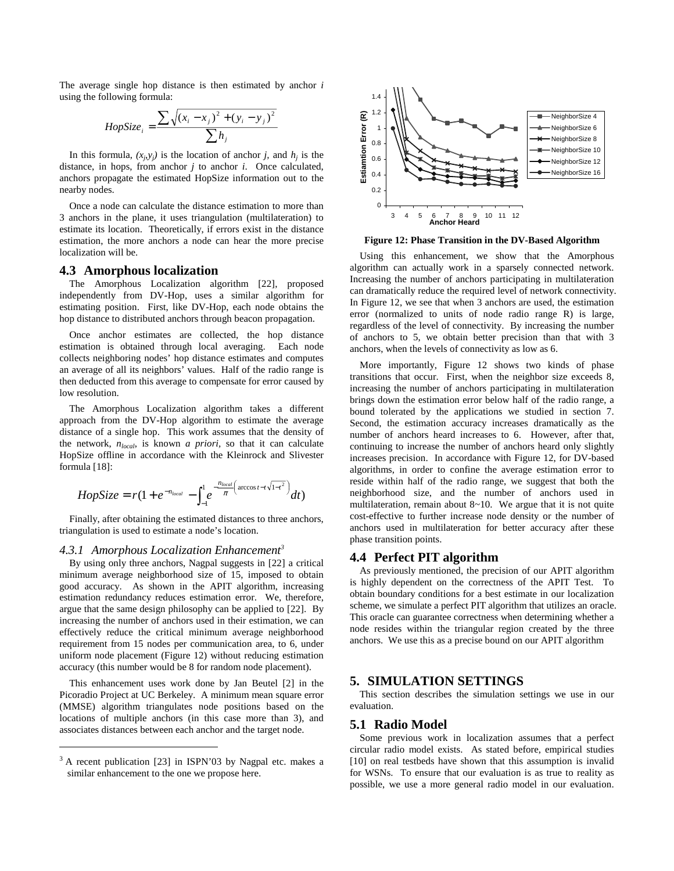The average single hop distance is then estimated by anchor *i*  using the following formula:

*HopSize*<sub>i</sub> = 
$$
\frac{\sum \sqrt{(x_i - x_j)^2 + (y_i - y_j)^2}}{\sum h_j}
$$

In this formula,  $(x_i, y_j)$  is the location of anchor *j*, and  $h_i$  is the distance, in hops, from anchor *j* to anchor *i*. Once calculated, anchors propagate the estimated HopSize information out to the nearby nodes.

Once a node can calculate the distance estimation to more than 3 anchors in the plane, it uses triangulation (multilateration) to estimate its location. Theoretically, if errors exist in the distance estimation, the more anchors a node can hear the more precise localization will be.

### **4.3 Amorphous localization**

The Amorphous Localization algorithm [22], proposed independently from DV-Hop, uses a similar algorithm for estimating position. First, like DV-Hop, each node obtains the hop distance to distributed anchors through beacon propagation.

Once anchor estimates are collected, the hop distance estimation is obtained through local averaging. Each node collects neighboring nodes' hop distance estimates and computes an average of all its neighbors' values. Half of the radio range is then deducted from this average to compensate for error caused by low resolution.

The Amorphous Localization algorithm takes a different approach from the DV-Hop algorithm to estimate the average distance of a single hop. This work assumes that the density of the network, *nlocal*, is known *a priori,* so that it can calculate HopSize offline in accordance with the Kleinrock and Slivester formula [18]:

*HopSize* = 
$$
r(1 + e^{-n_{local}} - \int_{-1}^{1} e^{\frac{n_{local}}{\pi} (\arccos t - t\sqrt{1 - t^2})} dt)
$$

Finally, after obtaining the estimated distances to three anchors, triangulation is used to estimate a node's location.

#### *4.3.1 Amorphous Localization Enhancement3*

By using only three anchors, Nagpal suggests in [22] a critical minimum average neighborhood size of 15, imposed to obtain good accuracy. As shown in the APIT algorithm, increasing estimation redundancy reduces estimation error. We, therefore, argue that the same design philosophy can be applied to [22]. By increasing the number of anchors used in their estimation, we can effectively reduce the critical minimum average neighborhood requirement from 15 nodes per communication area, to 6, under uniform node placement (Figure 12) without reducing estimation accuracy (this number would be 8 for random node placement).

This enhancement uses work done by Jan Beutel [2] in the Picoradio Project at UC Berkeley. A minimum mean square error (MMSE) algorithm triangulates node positions based on the locations of multiple anchors (in this case more than 3), and associates distances between each anchor and the target node.

 $\overline{a}$ 



**Figure 12: Phase Transition in the DV-Based Algorithm** 

Using this enhancement, we show that the Amorphous algorithm can actually work in a sparsely connected network. Increasing the number of anchors participating in multilateration can dramatically reduce the required level of network connectivity. In Figure 12, we see that when 3 anchors are used, the estimation error (normalized to units of node radio range R) is large, regardless of the level of connectivity. By increasing the number of anchors to 5, we obtain better precision than that with 3 anchors, when the levels of connectivity as low as 6.

More importantly, Figure 12 shows two kinds of phase transitions that occur. First, when the neighbor size exceeds 8, increasing the number of anchors participating in multilateration brings down the estimation error below half of the radio range, a bound tolerated by the applications we studied in section 7. Second, the estimation accuracy increases dramatically as the number of anchors heard increases to 6. However, after that, continuing to increase the number of anchors heard only slightly increases precision. In accordance with Figure 12, for DV-based algorithms, in order to confine the average estimation error to reside within half of the radio range, we suggest that both the neighborhood size, and the number of anchors used in multilateration, remain about 8~10. We argue that it is not quite cost-effective to further increase node density or the number of anchors used in multilateration for better accuracy after these phase transition points.

### **4.4 Perfect PIT algorithm**

As previously mentioned, the precision of our APIT algorithm is highly dependent on the correctness of the APIT Test. To obtain boundary conditions for a best estimate in our localization scheme, we simulate a perfect PIT algorithm that utilizes an oracle. This oracle can guarantee correctness when determining whether a node resides within the triangular region created by the three anchors. We use this as a precise bound on our APIT algorithm

### **5. SIMULATION SETTINGS**

This section describes the simulation settings we use in our evaluation.

#### **5.1 Radio Model**

Some previous work in localization assumes that a perfect circular radio model exists. As stated before, empirical studies [10] on real testbeds have shown that this assumption is invalid for WSNs. To ensure that our evaluation is as true to reality as possible, we use a more general radio model in our evaluation.

 $3$  A recent publication [23] in ISPN'03 by Nagpal etc. makes a similar enhancement to the one we propose here.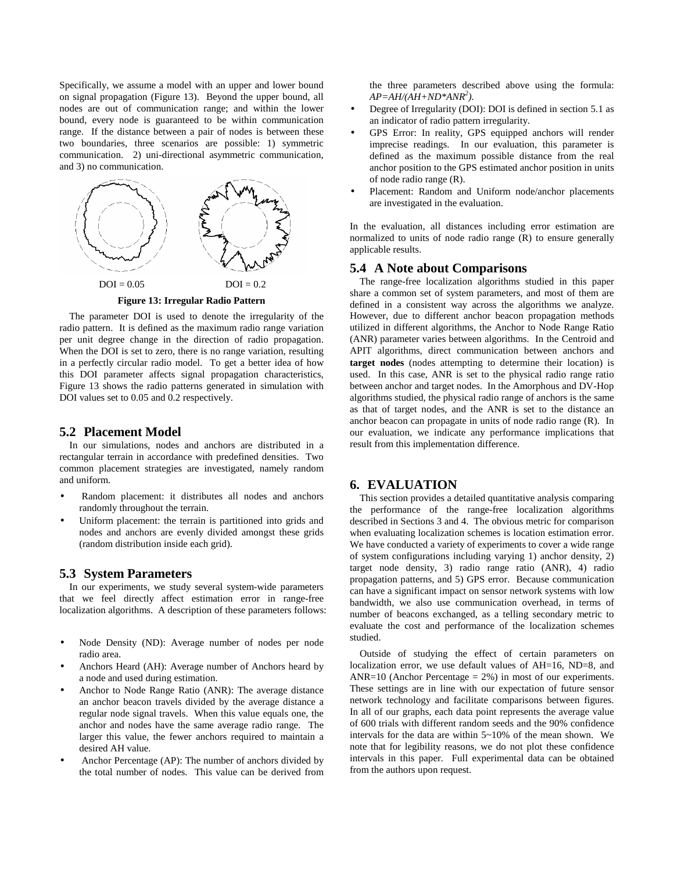Specifically, we assume a model with an upper and lower bound on signal propagation (Figure 13). Beyond the upper bound, all nodes are out of communication range; and within the lower bound, every node is guaranteed to be within communication range. If the distance between a pair of nodes is between these two boundaries, three scenarios are possible: 1) symmetric communication. 2) uni-directional asymmetric communication, and 3) no communication.



**Figure 13: Irregular Radio Pattern** 

The parameter DOI is used to denote the irregularity of the radio pattern. It is defined as the maximum radio range variation per unit degree change in the direction of radio propagation. When the DOI is set to zero, there is no range variation, resulting in a perfectly circular radio model. To get a better idea of how this DOI parameter affects signal propagation characteristics, Figure 13 shows the radio patterns generated in simulation with DOI values set to 0.05 and 0.2 respectively.

### **5.2 Placement Model**

In our simulations, nodes and anchors are distributed in a rectangular terrain in accordance with predefined densities. Two common placement strategies are investigated, namely random and uniform.

- Random placement: it distributes all nodes and anchors randomly throughout the terrain.
- Uniform placement: the terrain is partitioned into grids and nodes and anchors are evenly divided amongst these grids (random distribution inside each grid).

# **5.3 System Parameters**

In our experiments, we study several system-wide parameters that we feel directly affect estimation error in range-free localization algorithms. A description of these parameters follows:

- Node Density (ND): Average number of nodes per node radio area.
- Anchors Heard (AH): Average number of Anchors heard by a node and used during estimation.
- Anchor to Node Range Ratio (ANR): The average distance an anchor beacon travels divided by the average distance a regular node signal travels. When this value equals one, the anchor and nodes have the same average radio range. The larger this value, the fewer anchors required to maintain a desired AH value.
- Anchor Percentage (AP): The number of anchors divided by the total number of nodes. This value can be derived from

the three parameters described above using the formula: *AP=AH/(AH+ND\*ANR<sup>2</sup> ).*

- Degree of Irregularity (DOI): DOI is defined in section 5.1 as an indicator of radio pattern irregularity.
- GPS Error: In reality, GPS equipped anchors will render imprecise readings. In our evaluation, this parameter is defined as the maximum possible distance from the real anchor position to the GPS estimated anchor position in units of node radio range (R).
- Placement: Random and Uniform node/anchor placements are investigated in the evaluation.

In the evaluation, all distances including error estimation are normalized to units of node radio range (R) to ensure generally applicable results.

### **5.4 A Note about Comparisons**

The range-free localization algorithms studied in this paper share a common set of system parameters, and most of them are defined in a consistent way across the algorithms we analyze. However, due to different anchor beacon propagation methods utilized in different algorithms, the Anchor to Node Range Ratio (ANR) parameter varies between algorithms. In the Centroid and APIT algorithms, direct communication between anchors and **target nodes** (nodes attempting to determine their location) is used. In this case, ANR is set to the physical radio range ratio between anchor and target nodes. In the Amorphous and DV-Hop algorithms studied, the physical radio range of anchors is the same as that of target nodes, and the ANR is set to the distance an anchor beacon can propagate in units of node radio range (R). In our evaluation, we indicate any performance implications that result from this implementation difference.

### **6. EVALUATION**

This section provides a detailed quantitative analysis comparing the performance of the range-free localization algorithms described in Sections 3 and 4. The obvious metric for comparison when evaluating localization schemes is location estimation error. We have conducted a variety of experiments to cover a wide range of system configurations including varying 1) anchor density, 2) target node density, 3) radio range ratio (ANR), 4) radio propagation patterns, and 5) GPS error. Because communication can have a significant impact on sensor network systems with low bandwidth, we also use communication overhead, in terms of number of beacons exchanged, as a telling secondary metric to evaluate the cost and performance of the localization schemes studied.

Outside of studying the effect of certain parameters on localization error, we use default values of AH=16, ND=8, and  $ANR=10$  (Anchor Percentage = 2%) in most of our experiments. These settings are in line with our expectation of future sensor network technology and facilitate comparisons between figures. In all of our graphs, each data point represents the average value of 600 trials with different random seeds and the 90% confidence intervals for the data are within  $5 \sim 10\%$  of the mean shown. We note that for legibility reasons, we do not plot these confidence intervals in this paper. Full experimental data can be obtained from the authors upon request.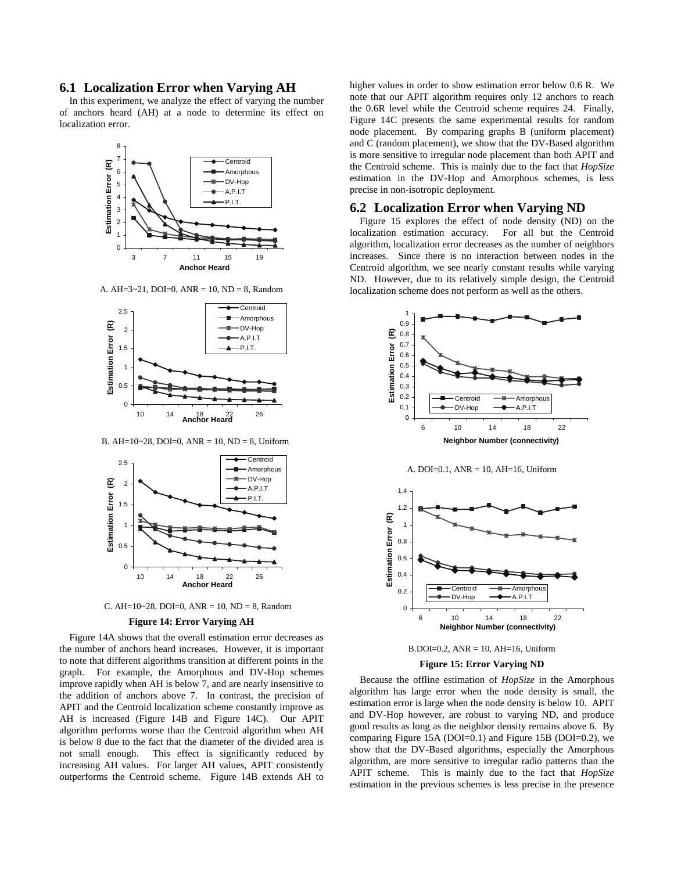#### **6.1 Localization Error when Varying AH**

In this experiment, we analyze the effect of varying the number of anchors heard (AH) at a node to determine its effect on localization error.



A. AH=3~21, DOI=0, ANR = 10, ND = 8, Random



B. AH=10~28, DOI=0, ANR = 10, ND = 8, Uniform



C. AH= $10~28$ , DOI=0, ANR = 10, ND = 8, Random

#### **Figure 14: Error Varying AH**

Figure 14A shows that the overall estimation error decreases as the number of anchors heard increases. However, it is important to note that different algorithms transition at different points in the graph. For example, the Amorphous and DV-Hop schemes improve rapidly when AH is below 7, and are nearly insensitive to the addition of anchors above 7. In contrast, the precision of APIT and the Centroid localization scheme constantly improve as AH is increased (Figure 14B and Figure 14C). Our APIT algorithm performs worse than the Centroid algorithm when AH is below 8 due to the fact that the diameter of the divided area is not small enough. This effect is significantly reduced by increasing AH values. For larger AH values, APIT consistently outperforms the Centroid scheme. Figure 14B extends AH to higher values in order to show estimation error below 0.6 R. We note that our APIT algorithm requires only 12 anchors to reach the 0.6R level while the Centroid scheme requires 24. Finally, Figure 14C presents the same experimental results for random node placement. By comparing graphs B (uniform placement) and C (random placement), we show that the DV-Based algorithm is more sensitive to irregular node placement than both APIT and the Centroid scheme. This is mainly due to the fact that *HopSize* estimation in the DV-Hop and Amorphous schemes, is less precise in non-isotropic deployment.

#### **6.2 Localization Error when Varying ND**

Figure 15 explores the effect of node density (ND) on the localization estimation accuracy. For all but the Centroid algorithm, localization error decreases as the number of neighbors increases. Since there is no interaction between nodes in the Centroid algorithm, we see nearly constant results while varying ND. However, due to its relatively simple design, the Centroid localization scheme does not perform as well as the others.



Because the offline estimation of *HopSize* in the Amorphous algorithm has large error when the node density is small, the estimation error is large when the node density is below 10. APIT and DV-Hop however, are robust to varying ND, and produce good results as long as the neighbor density remains above 6. By comparing Figure 15A (DOI=0.1) and Figure 15B (DOI=0.2), we show that the DV-Based algorithms, especially the Amorphous algorithm, are more sensitive to irregular radio patterns than the APIT scheme. This is mainly due to the fact that *HopSize* estimation in the previous schemes is less precise in the presence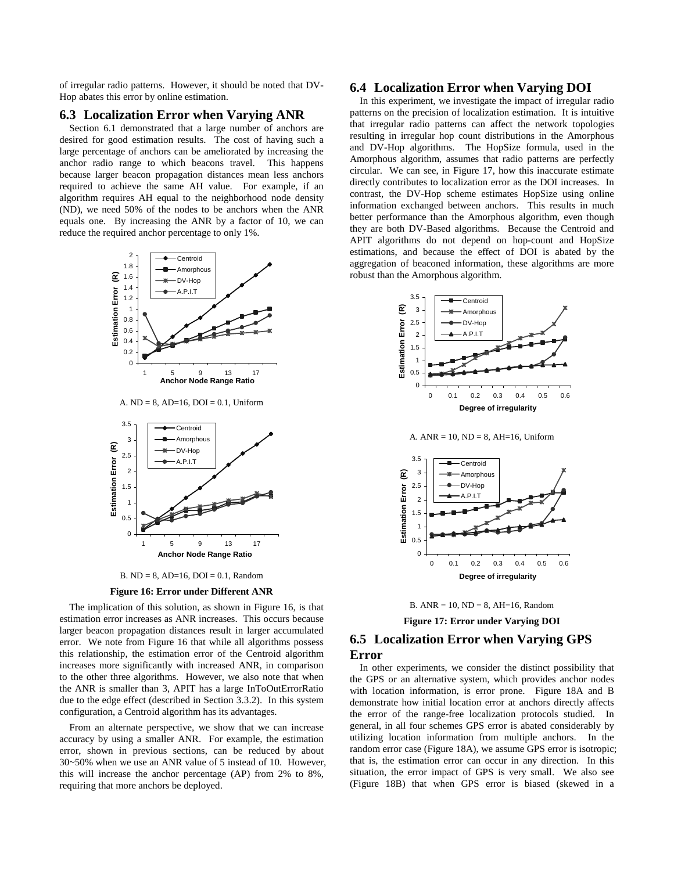of irregular radio patterns. However, it should be noted that DV-Hop abates this error by online estimation.

### **6.3 Localization Error when Varying ANR**

Section 6.1 demonstrated that a large number of anchors are desired for good estimation results. The cost of having such a large percentage of anchors can be ameliorated by increasing the anchor radio range to which beacons travel. This happens because larger beacon propagation distances mean less anchors required to achieve the same AH value. For example, if an algorithm requires AH equal to the neighborhood node density (ND), we need 50% of the nodes to be anchors when the ANR equals one. By increasing the ANR by a factor of 10, we can reduce the required anchor percentage to only 1%.





B. ND = 8, AD=16, DOI = 0.1, Random

#### **Figure 16: Error under Different ANR**

The implication of this solution, as shown in Figure 16, is that estimation error increases as ANR increases. This occurs because larger beacon propagation distances result in larger accumulated error. We note from Figure 16 that while all algorithms possess this relationship, the estimation error of the Centroid algorithm increases more significantly with increased ANR, in comparison to the other three algorithms. However, we also note that when the ANR is smaller than 3, APIT has a large InToOutErrorRatio due to the edge effect (described in Section 3.3.2). In this system configuration, a Centroid algorithm has its advantages.

From an alternate perspective, we show that we can increase accuracy by using a smaller ANR. For example, the estimation error, shown in previous sections, can be reduced by about 30~50% when we use an ANR value of 5 instead of 10. However, this will increase the anchor percentage (AP) from 2% to 8%, requiring that more anchors be deployed.

### **6.4 Localization Error when Varying DOI**

In this experiment, we investigate the impact of irregular radio patterns on the precision of localization estimation. It is intuitive that irregular radio patterns can affect the network topologies resulting in irregular hop count distributions in the Amorphous and DV-Hop algorithms. The HopSize formula, used in the Amorphous algorithm, assumes that radio patterns are perfectly circular. We can see, in Figure 17, how this inaccurate estimate directly contributes to localization error as the DOI increases. In contrast, the DV-Hop scheme estimates HopSize using online information exchanged between anchors. This results in much better performance than the Amorphous algorithm, even though they are both DV-Based algorithms. Because the Centroid and APIT algorithms do not depend on hop-count and HopSize estimations, and because the effect of DOI is abated by the aggregation of beaconed information, these algorithms are more robust than the Amorphous algorithm.



A. ANR = 10, ND = 8, AH=16, Uniform





**Figure 17: Error under Varying DOI** 

# **6.5 Localization Error when Varying GPS Error**

In other experiments, we consider the distinct possibility that the GPS or an alternative system, which provides anchor nodes with location information, is error prone. Figure 18A and B demonstrate how initial location error at anchors directly affects the error of the range-free localization protocols studied. In general, in all four schemes GPS error is abated considerably by utilizing location information from multiple anchors. In the random error case (Figure 18A), we assume GPS error is isotropic; that is, the estimation error can occur in any direction. In this situation, the error impact of GPS is very small. We also see (Figure 18B) that when GPS error is biased (skewed in a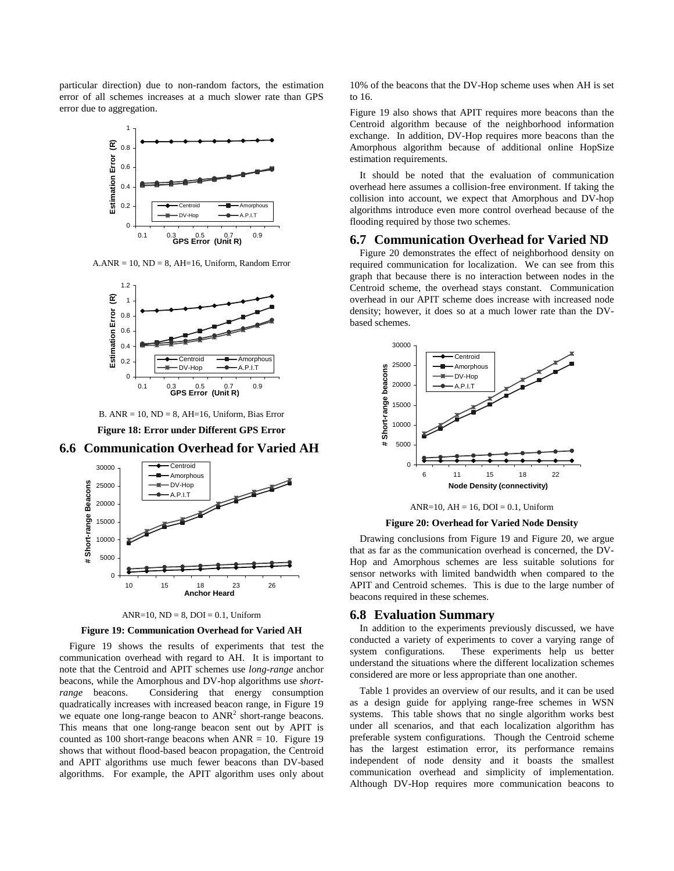particular direction) due to non-random factors, the estimation error of all schemes increases at a much slower rate than GPS error due to aggregation.



 $A. ANR = 10, ND = 8, AH = 16, Uniform, Random Error$ 



B.  $ANR = 10$ ,  $ND = 8$ ,  $AH = 16$ , Uniform, Bias Error **Figure 18: Error under Different GPS Error**

### **6.6 Communication Overhead for Varied AH**



ANR=10,  $ND = 8$ ,  $DOI = 0.1$ , Uniform

#### **Figure 19: Communication Overhead for Varied AH**

Figure 19 shows the results of experiments that test the communication overhead with regard to AH. It is important to note that the Centroid and APIT schemes use *long-range* anchor beacons, while the Amorphous and DV-hop algorithms use *shortrange* beacons. Considering that energy consumption quadratically increases with increased beacon range, in Figure 19 we equate one long-range beacon to  $ANR<sup>2</sup>$  short-range beacons. This means that one long-range beacon sent out by APIT is counted as 100 short-range beacons when  $ANR = 10$ . Figure 19 shows that without flood-based beacon propagation, the Centroid and APIT algorithms use much fewer beacons than DV-based algorithms. For example, the APIT algorithm uses only about

10% of the beacons that the DV-Hop scheme uses when AH is set to 16.

Figure 19 also shows that APIT requires more beacons than the Centroid algorithm because of the neighborhood information exchange. In addition, DV-Hop requires more beacons than the Amorphous algorithm because of additional online HopSize estimation requirements.

It should be noted that the evaluation of communication overhead here assumes a collision-free environment. If taking the collision into account, we expect that Amorphous and DV-hop algorithms introduce even more control overhead because of the flooding required by those two schemes.

### **6.7 Communication Overhead for Varied ND**

Figure 20 demonstrates the effect of neighborhood density on required communication for localization. We can see from this graph that because there is no interaction between nodes in the Centroid scheme, the overhead stays constant. Communication overhead in our APIT scheme does increase with increased node density; however, it does so at a much lower rate than the DVbased schemes.



ANR=10, AH = 16, DOI =  $0.1$ , Uniform

#### **Figure 20: Overhead for Varied Node Density**

Drawing conclusions from Figure 19 and Figure 20, we argue that as far as the communication overhead is concerned, the DV-Hop and Amorphous schemes are less suitable solutions for sensor networks with limited bandwidth when compared to the APIT and Centroid schemes. This is due to the large number of beacons required in these schemes.

#### **6.8 Evaluation Summary**

In addition to the experiments previously discussed, we have conducted a variety of experiments to cover a varying range of system configurations. These experiments help us better understand the situations where the different localization schemes considered are more or less appropriate than one another.

Table 1 provides an overview of our results, and it can be used as a design guide for applying range-free schemes in WSN systems. This table shows that no single algorithm works best under all scenarios, and that each localization algorithm has preferable system configurations. Though the Centroid scheme has the largest estimation error, its performance remains independent of node density and it boasts the smallest communication overhead and simplicity of implementation. Although DV-Hop requires more communication beacons to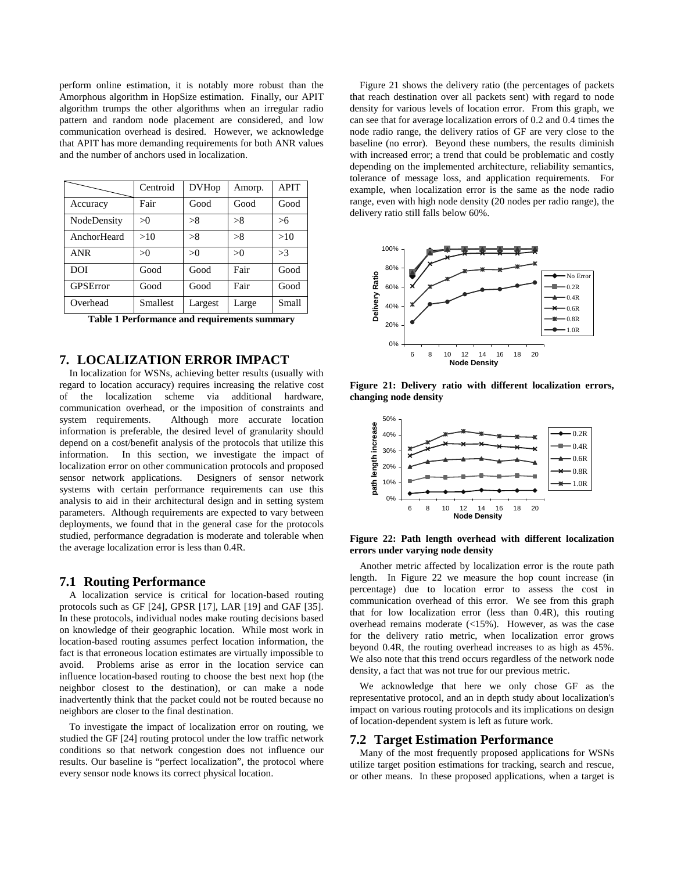perform online estimation, it is notably more robust than the Amorphous algorithm in HopSize estimation. Finally, our APIT algorithm trumps the other algorithms when an irregular radio pattern and random node placement are considered, and low communication overhead is desired. However, we acknowledge that APIT has more demanding requirements for both ANR values and the number of anchors used in localization.

|                 | Centroid | <b>DVHop</b> | Amorp. | APIT  |
|-----------------|----------|--------------|--------|-------|
| Accuracy        | Fair     | Good         | Good   | Good  |
| NodeDensity     | >0       | > 8          | > 8    | >6    |
| AnchorHeard     | >10      | > 8          | > 8    | >10   |
| <b>ANR</b>      | >0       | >0           | >0     | >3    |
| DOI             | Good     | Good         | Fair   | Good  |
| <b>GPSError</b> | Good     | Good         | Fair   | Good  |
| Overhead        | Smallest | Largest      | Large  | Small |

**Table 1 Performance and requirements summary** 

### **7. LOCALIZATION ERROR IMPACT**

In localization for WSNs, achieving better results (usually with regard to location accuracy) requires increasing the relative cost of the localization scheme via additional hardware, communication overhead, or the imposition of constraints and system requirements. Although more accurate location information is preferable, the desired level of granularity should depend on a cost/benefit analysis of the protocols that utilize this information. In this section, we investigate the impact of localization error on other communication protocols and proposed sensor network applications. Designers of sensor network systems with certain performance requirements can use this analysis to aid in their architectural design and in setting system parameters. Although requirements are expected to vary between deployments, we found that in the general case for the protocols studied, performance degradation is moderate and tolerable when the average localization error is less than 0.4R.

### **7.1 Routing Performance**

A localization service is critical for location-based routing protocols such as GF [24], GPSR [17], LAR [19] and GAF [35]. In these protocols, individual nodes make routing decisions based on knowledge of their geographic location. While most work in location-based routing assumes perfect location information, the fact is that erroneous location estimates are virtually impossible to avoid. Problems arise as error in the location service can influence location-based routing to choose the best next hop (the neighbor closest to the destination), or can make a node inadvertently think that the packet could not be routed because no neighbors are closer to the final destination.

To investigate the impact of localization error on routing, we studied the GF [24] routing protocol under the low traffic network conditions so that network congestion does not influence our results. Our baseline is "perfect localization", the protocol where every sensor node knows its correct physical location.

Figure 21 shows the delivery ratio (the percentages of packets that reach destination over all packets sent) with regard to node density for various levels of location error. From this graph, we can see that for average localization errors of 0.2 and 0.4 times the node radio range, the delivery ratios of GF are very close to the baseline (no error). Beyond these numbers, the results diminish with increased error; a trend that could be problematic and costly depending on the implemented architecture, reliability semantics, tolerance of message loss, and application requirements. For example, when localization error is the same as the node radio range, even with high node density (20 nodes per radio range), the delivery ratio still falls below 60%.



**Figure 21: Delivery ratio with different localization errors, changing node density** 



**Figure 22: Path length overhead with different localization errors under varying node density** 

Another metric affected by localization error is the route path length. In Figure 22 we measure the hop count increase (in percentage) due to location error to assess the cost in communication overhead of this error. We see from this graph that for low localization error (less than 0.4R), this routing overhead remains moderate (<15%). However, as was the case for the delivery ratio metric, when localization error grows beyond 0.4R, the routing overhead increases to as high as 45%. We also note that this trend occurs regardless of the network node density, a fact that was not true for our previous metric.

We acknowledge that here we only chose GF as the representative protocol, and an in depth study about localization's impact on various routing protocols and its implications on design of location-dependent system is left as future work.

### **7.2 Target Estimation Performance**

Many of the most frequently proposed applications for WSNs utilize target position estimations for tracking, search and rescue, or other means. In these proposed applications, when a target is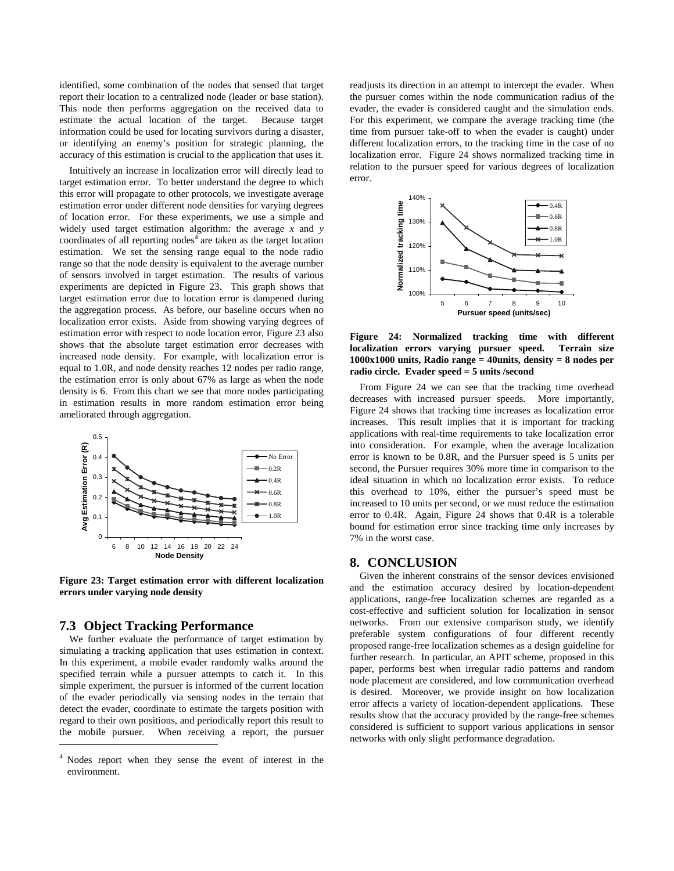identified, some combination of the nodes that sensed that target report their location to a centralized node (leader or base station). This node then performs aggregation on the received data to estimate the actual location of the target. Because target information could be used for locating survivors during a disaster, or identifying an enemy's position for strategic planning, the accuracy of this estimation is crucial to the application that uses it.

Intuitively an increase in localization error will directly lead to target estimation error. To better understand the degree to which this error will propagate to other protocols, we investigate average estimation error under different node densities for varying degrees of location error. For these experiments, we use a simple and widely used target estimation algorithm: the average *x* and *y* coordinates of all reporting nodes<sup>4</sup> are taken as the target location estimation. We set the sensing range equal to the node radio range so that the node density is equivalent to the average number of sensors involved in target estimation. The results of various experiments are depicted in Figure 23. This graph shows that target estimation error due to location error is dampened during the aggregation process. As before, our baseline occurs when no localization error exists. Aside from showing varying degrees of estimation error with respect to node location error, Figure 23 also shows that the absolute target estimation error decreases with increased node density. For example, with localization error is equal to 1.0R, and node density reaches 12 nodes per radio range, the estimation error is only about 67% as large as when the node density is 6. From this chart we see that more nodes participating in estimation results in more random estimation error being ameliorated through aggregation.



**Figure 23: Target estimation error with different localization errors under varying node density** 

## **7.3 Object Tracking Performance**

 $\overline{a}$ 

We further evaluate the performance of target estimation by simulating a tracking application that uses estimation in context. In this experiment, a mobile evader randomly walks around the specified terrain while a pursuer attempts to catch it. In this simple experiment, the pursuer is informed of the current location of the evader periodically via sensing nodes in the terrain that detect the evader, coordinate to estimate the targets position with regard to their own positions, and periodically report this result to the mobile pursuer. When receiving a report, the pursuer readjusts its direction in an attempt to intercept the evader. When the pursuer comes within the node communication radius of the evader, the evader is considered caught and the simulation ends. For this experiment, we compare the average tracking time (the time from pursuer take-off to when the evader is caught) under different localization errors, to the tracking time in the case of no localization error. Figure 24 shows normalized tracking time in relation to the pursuer speed for various degrees of localization error.



**Figure 24: Normalized tracking time with different localization errors varying pursuer speed. Terrain size 1000x1000 units, Radio range = 40units, density = 8 nodes per radio circle. Evader speed = 5 units /second** 

From Figure 24 we can see that the tracking time overhead decreases with increased pursuer speeds. More importantly, Figure 24 shows that tracking time increases as localization error increases. This result implies that it is important for tracking applications with real-time requirements to take localization error into consideration. For example, when the average localization error is known to be 0.8R, and the Pursuer speed is 5 units per second, the Pursuer requires 30% more time in comparison to the ideal situation in which no localization error exists. To reduce this overhead to 10%, either the pursuer's speed must be increased to 10 units per second, or we must reduce the estimation error to 0.4R. Again, Figure 24 shows that 0.4R is a tolerable bound for estimation error since tracking time only increases by 7% in the worst case.

# **8. CONCLUSION**

Given the inherent constrains of the sensor devices envisioned and the estimation accuracy desired by location-dependent applications, range-free localization schemes are regarded as a cost-effective and sufficient solution for localization in sensor networks. From our extensive comparison study, we identify preferable system configurations of four different recently proposed range-free localization schemes as a design guideline for further research. In particular, an APIT scheme, proposed in this paper, performs best when irregular radio patterns and random node placement are considered, and low communication overhead is desired. Moreover, we provide insight on how localization error affects a variety of location-dependent applications. These results show that the accuracy provided by the range-free schemes considered is sufficient to support various applications in sensor networks with only slight performance degradation.

<sup>4</sup> Nodes report when they sense the event of interest in the environment.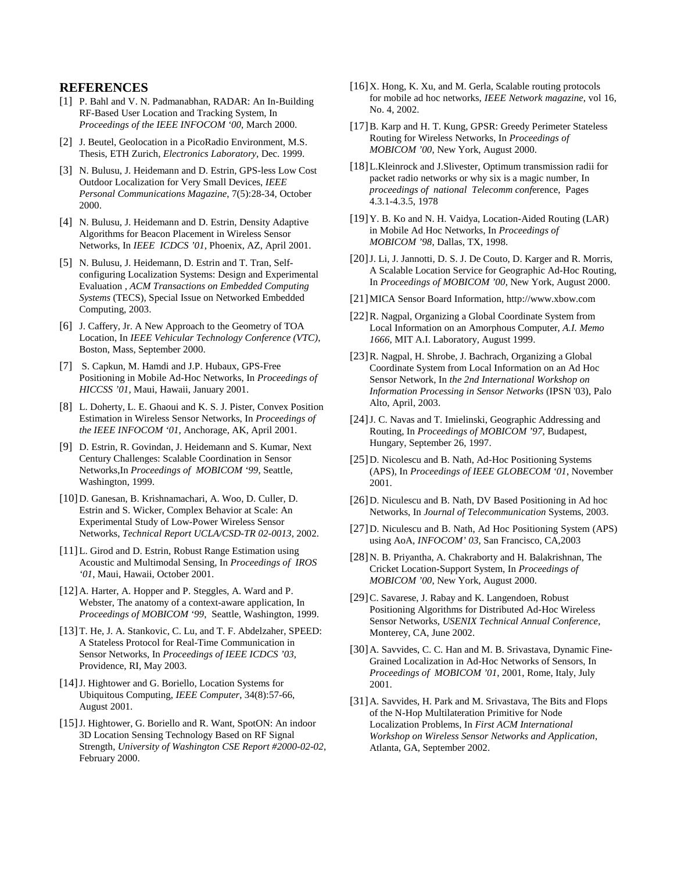### **REFERENCES**

- [1] P. Bahl and V. N. Padmanabhan, RADAR: An In-Building RF-Based User Location and Tracking System, In *Proceedings of the IEEE INFOCOM '00*, March 2000.
- [2] J. Beutel, Geolocation in a PicoRadio Environment, M.S. Thesis, ETH Zurich, *Electronics Laboratory*, Dec. 1999.
- [3] N. Bulusu, J. Heidemann and D. Estrin, GPS-less Low Cost Outdoor Localization for Very Small Devices, *IEEE Personal Communications Magazine*, 7(5):28-34, October 2000.
- [4] N. Bulusu, J. Heidemann and D. Estrin, Density Adaptive Algorithms for Beacon Placement in Wireless Sensor Networks, In *IEEE ICDCS '01*, Phoenix, AZ, April 2001.
- [5] N. Bulusu, J. Heidemann, D. Estrin and T. Tran, Selfconfiguring Localization Systems: Design and Experimental Evaluation , *ACM Transactions on Embedded Computing Systems* (TECS), Special Issue on Networked Embedded Computing, 2003.
- [6] J. Caffery, Jr. A New Approach to the Geometry of TOA Location, In *IEEE Vehicular Technology Conference (VTC)*, Boston, Mass, September 2000.
- [7] S. Capkun, M. Hamdi and J.P. Hubaux, GPS-Free Positioning in Mobile Ad-Hoc Networks, In *Proceedings of HICCSS '01*, Maui, Hawaii, January 2001.
- [8] L. Doherty, L. E. Ghaoui and K. S. J. Pister, Convex Position Estimation in Wireless Sensor Networks, In *Proceedings of the IEEE INFOCOM '01*, Anchorage, AK, April 2001.
- [9] D. Estrin, R. Govindan, J. Heidemann and S. Kumar, Next Century Challenges: Scalable Coordination in Sensor Networks,In *Proceedings of MOBICOM '99*, Seattle, Washington, 1999.
- [10]D. Ganesan, B. Krishnamachari, A. Woo, D. Culler, D. Estrin and S. Wicker, Complex Behavior at Scale: An Experimental Study of Low-Power Wireless Sensor Networks, *Technical Report UCLA/CSD-TR 02-0013*, 2002.
- [11]L. Girod and D. Estrin, Robust Range Estimation using Acoustic and Multimodal Sensing, In *Proceedings of IROS '01*, Maui, Hawaii, October 2001.
- [12] A. Harter, A. Hopper and P. Steggles, A. Ward and P. Webster, The anatomy of a context-aware application, In *Proceedings of MOBICOM '99*, Seattle, Washington, 1999.
- [13]T. He, J. A. Stankovic, C. Lu, and T. F. Abdelzaher, SPEED: A Stateless Protocol for Real-Time Communication in Sensor Networks, In *Proceedings of IEEE ICDCS '03*, Providence, RI, May 2003.
- [14] J. Hightower and G. Boriello, Location Systems for Ubiquitous Computing, *IEEE Computer*, 34(8):57-66, August 2001.
- [15] J. Hightower, G. Boriello and R. Want, SpotON: An indoor 3D Location Sensing Technology Based on RF Signal Strength, *University of Washington CSE Report #2000-02-02*, February 2000.
- [16] X. Hong, K. Xu, and M. Gerla, Scalable routing protocols for mobile ad hoc networks, *IEEE Network magazine*, vol 16, No. 4, 2002.
- [17]B. Karp and H. T. Kung, GPSR: Greedy Perimeter Stateless Routing for Wireless Networks, In *Proceedings of MOBICOM '00*, New York, August 2000.
- [18]L.Kleinrock and J.Slivester, Optimum transmission radii for packet radio networks or why six is a magic number, In *proceedings of national Telecomm conf*erence, Pages 4.3.1-4.3.5, 1978
- [19]Y. B. Ko and N. H. Vaidya, Location-Aided Routing (LAR) in Mobile Ad Hoc Networks, In *Proceedings of MOBICOM '98*, Dallas, TX, 1998.
- [20]J. Li, J. Jannotti, D. S. J. De Couto, D. Karger and R. Morris, A Scalable Location Service for Geographic Ad-Hoc Routing, In *Proceedings of MOBICOM '00*, New York, August 2000.
- [21]MICA Sensor Board Information, http://www.xbow.com
- [22]R. Nagpal, Organizing a Global Coordinate System from Local Information on an Amorphous Computer, *A.I. Memo 1666*, MIT A.I. Laboratory, August 1999.
- [23]R. Nagpal, H. Shrobe, J. Bachrach, Organizing a Global Coordinate System from Local Information on an Ad Hoc Sensor Network, In *the 2nd International Workshop on Information Processing in Sensor Networks* (IPSN '03), Palo Alto, April, 2003.
- [24] J. C. Navas and T. Imielinski, Geographic Addressing and Routing, In *Proceedings of MOBICOM '97*, Budapest, Hungary, September 26, 1997.
- [25]D. Nicolescu and B. Nath, Ad-Hoc Positioning Systems (APS), In *Proceedings of IEEE GLOBECOM '01*, November 2001.
- [26]D. Niculescu and B. Nath, DV Based Positioning in Ad hoc Networks, In *Journal of Telecommunication* Systems, 2003.
- [27]D. Niculescu and B. Nath, Ad Hoc Positioning System (APS) using AoA, *INFOCOM' 03*, San Francisco, CA,2003
- [28]N. B. Priyantha, A. Chakraborty and H. Balakrishnan, The Cricket Location-Support System, In *Proceedings of MOBICOM '00*, New York, August 2000.
- [29]C. Savarese, J. Rabay and K. Langendoen, Robust Positioning Algorithms for Distributed Ad-Hoc Wireless Sensor Networks, *USENIX Technical Annual Conference*, Monterey, CA, June 2002.
- [30] A. Savvides, C. C. Han and M. B. Srivastava, Dynamic Fine-Grained Localization in Ad-Hoc Networks of Sensors, In *Proceedings of MOBICOM '01*, 2001, Rome, Italy, July 2001.
- [31]A. Savvides, H. Park and M. Srivastava, The Bits and Flops of the N-Hop Multilateration Primitive for Node Localization Problems, In *First ACM International Workshop on Wireless Sensor Networks and Application*, Atlanta, GA, September 2002.